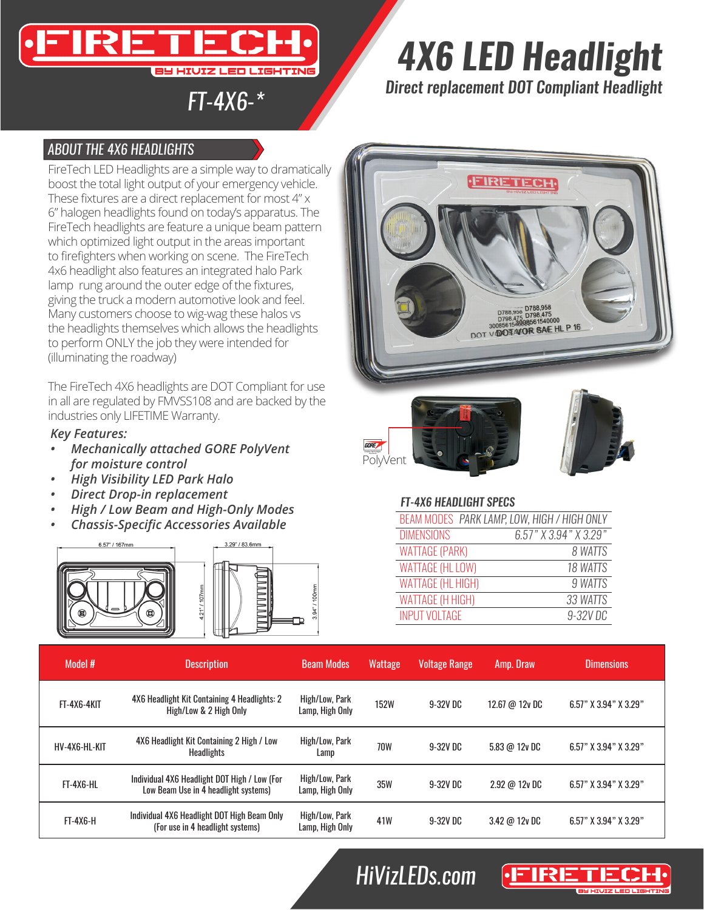### ıн **3Y HIUIZ LED LIGHTING**

# *4X6 LED Headlight*

*FT-4X6-\* Direct replacement DOT Compliant Headlight*

### *ABOUT THE 4X6 HEADLIGHTS*

FireTech LED Headlights are a simple way to dramatically boost the total light output of your emergency vehicle. These fixtures are a direct replacement for most 4" x 6" halogen headlights found on today's apparatus. The FireTech headlights are feature a unique beam pattern which optimized light output in the areas important to firefighters when working on scene. The FireTech 4x6 headlight also features an integrated halo Park lamp rung around the outer edge of the fixtures, giving the truck a modern automotive look and feel. Many customers choose to wig-wag these halos vs the headlights themselves which allows the headlights to perform ONLY the job they were intended for (illuminating the roadway)

The FireTech 4X6 headlights are DOT Compliant for use in all are regulated by FMVSS108 and are backed by the industries only LIFETIME Warranty.

#### *Key Features:*

- *• Mechanically attached GORE PolyVent for moisture control*
- *• High Visibility LED Park Halo*
- *• Direct Drop-in replacement*
- *• High / Low Beam and High-Only Modes*
- *• Chassis-Specific Accessories Available*









#### *FT-4X6 HEADLIGHT SPECS*

| BEAM MODES PARK LAMP, LOW, HIGH / HIGH ONLY |                       |
|---------------------------------------------|-----------------------|
| <b>DIMENSIONS</b>                           | 6.57" X 3.94" X 3.29" |
| <b>WATTAGE (PARK)</b>                       | 8 WATTS               |
| <b>WATTAGE (HL LOW)</b>                     | 18 WATTS              |
| <b>WATTAGE (HL HIGH)</b>                    | 9 WATTS               |
| <b>WATTAGE (H HIGH)</b>                     | 33 WATTS              |
| <b>INPUT VOLTAGE</b>                        | 9-32V DC              |

| Model #            | <b>Description</b>                                                                   | <b>Beam Modes</b>                 | <b>Wattage</b> | Voltage Range | Amp. Draw                | <b>Dimensions</b>         |
|--------------------|--------------------------------------------------------------------------------------|-----------------------------------|----------------|---------------|--------------------------|---------------------------|
| <b>FT-4X6-4KIT</b> | 4X6 Headlight Kit Containing 4 Headlights: 2<br>High/Low & 2 High Only               | High/Low, Park<br>Lamp, High Only | <b>152W</b>    | 9-32V DC      | 12.67 @ 12y DC           | 6.57" X 3.94" X 3.29"     |
| HV-4X6-HL-KIT      | 4X6 Headlight Kit Containing 2 High / Low<br><b>Headlights</b>                       | High/Low, Park<br>Lamp            | <b>70W</b>     | 9-32V DC      | $5.83 \omega 12v$ DC     | 6.57" X 3.94" X 3.29"     |
| <b>FT-4X6-HL</b>   | Individual 4X6 Headlight DOT High / Low (For<br>Low Beam Use in 4 headlight systems) | High/Low, Park<br>Lamp, High Only | <b>35W</b>     | 9-32V DC      | $2.92 \text{ } @$ 12y DC | 6.57" $X$ 3.94" $X$ 3.29" |
| $FT-4X6-H$         | Individual 4X6 Headlight DOT High Beam Only<br>(For use in 4 headlight systems)      | High/Low, Park<br>Lamp, High Only | 41W            | 9-32V DC      | $3.42 \omega 12v$ DC     | 6.57" $X$ 3.94" $X$ 3.29" |